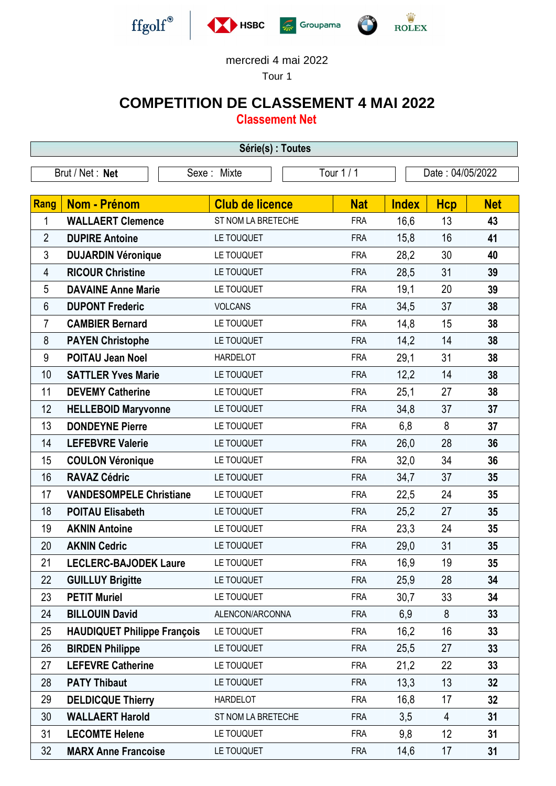

## mercredi 4 mai 2022

Tour 1

## **COMPETITION DE CLASSEMENT 4 MAI 2022**

**Classement Net**

| Série(s) : Toutes |                                    |                           |            |                  |                |            |  |  |  |
|-------------------|------------------------------------|---------------------------|------------|------------------|----------------|------------|--|--|--|
| Brut / Net: Net   |                                    | Tour 1 / 1<br>Sexe: Mixte |            | Date: 04/05/2022 |                |            |  |  |  |
|                   |                                    |                           |            |                  |                |            |  |  |  |
| <b>Rang</b>       | <b>Nom - Prénom</b>                | <b>Club de licence</b>    | <b>Nat</b> | <b>Index</b>     | <b>Hcp</b>     | <b>Net</b> |  |  |  |
| 1                 | <b>WALLAERT Clemence</b>           | ST NOM LA BRETECHE        | <b>FRA</b> | 16,6             | 13             | 43         |  |  |  |
| $\overline{2}$    | <b>DUPIRE Antoine</b>              | LE TOUQUET                | <b>FRA</b> | 15,8             | 16             | 41         |  |  |  |
| 3                 | <b>DUJARDIN Véronique</b>          | LE TOUQUET                | <b>FRA</b> | 28,2             | 30             | 40         |  |  |  |
| 4                 | <b>RICOUR Christine</b>            | LE TOUQUET                | <b>FRA</b> | 28,5             | 31             | 39         |  |  |  |
| 5                 | <b>DAVAINE Anne Marie</b>          | LE TOUQUET                | <b>FRA</b> | 19,1             | 20             | 39         |  |  |  |
| 6                 | <b>DUPONT Frederic</b>             | <b>VOLCANS</b>            | <b>FRA</b> | 34,5             | 37             | 38         |  |  |  |
| 7                 | <b>CAMBIER Bernard</b>             | LE TOUQUET                | <b>FRA</b> | 14,8             | 15             | 38         |  |  |  |
| 8                 | <b>PAYEN Christophe</b>            | LE TOUQUET                | <b>FRA</b> | 14,2             | 14             | 38         |  |  |  |
| 9                 | <b>POITAU Jean Noel</b>            | <b>HARDELOT</b>           | <b>FRA</b> | 29,1             | 31             | 38         |  |  |  |
| 10                | <b>SATTLER Yves Marie</b>          | LE TOUQUET                | <b>FRA</b> | 12,2             | 14             | 38         |  |  |  |
| 11                | <b>DEVEMY Catherine</b>            | LE TOUQUET                | <b>FRA</b> | 25,1             | 27             | 38         |  |  |  |
| 12                | <b>HELLEBOID Maryvonne</b>         | LE TOUQUET                | <b>FRA</b> | 34,8             | 37             | 37         |  |  |  |
| 13                | <b>DONDEYNE Pierre</b>             | LE TOUQUET                | <b>FRA</b> | 6,8              | 8              | 37         |  |  |  |
| 14                | <b>LEFEBVRE Valerie</b>            | LE TOUQUET                | <b>FRA</b> | 26,0             | 28             | 36         |  |  |  |
| 15                | <b>COULON Véronique</b>            | LE TOUQUET                | <b>FRA</b> | 32,0             | 34             | 36         |  |  |  |
| 16                | <b>RAVAZ Cédric</b>                | LE TOUQUET                | <b>FRA</b> | 34,7             | 37             | 35         |  |  |  |
| 17                | <b>VANDESOMPELE Christiane</b>     | LE TOUQUET                | <b>FRA</b> | 22,5             | 24             | 35         |  |  |  |
| 18                | <b>POITAU Elisabeth</b>            | LE TOUQUET                | <b>FRA</b> | 25,2             | 27             | 35         |  |  |  |
| 19                | <b>AKNIN Antoine</b>               | LE TOUQUET                | <b>FRA</b> | 23,3             | 24             | 35         |  |  |  |
| 20                | <b>AKNIN Cedric</b>                | LE TOUQUET                | <b>FRA</b> | 29,0             | 31             | 35         |  |  |  |
| 21                | <b>LECLERC-BAJODEK Laure</b>       | LE TOUQUET                | <b>FRA</b> | 16,9             | 19             | 35         |  |  |  |
| 22                | <b>GUILLUY Brigitte</b>            | LE TOUQUET                | <b>FRA</b> | 25,9             | 28             | 34         |  |  |  |
| 23                | <b>PETIT Muriel</b>                | LE TOUQUET                | <b>FRA</b> | 30,7             | 33             | 34         |  |  |  |
| 24                | <b>BILLOUIN David</b>              | ALENCON/ARCONNA           | <b>FRA</b> | 6,9              | 8              | 33         |  |  |  |
| 25                | <b>HAUDIQUET Philippe François</b> | LE TOUQUET                | <b>FRA</b> | 16,2             | 16             | 33         |  |  |  |
| 26                | <b>BIRDEN Philippe</b>             | LE TOUQUET                | <b>FRA</b> | 25,5             | 27             | 33         |  |  |  |
| 27                | <b>LEFEVRE Catherine</b>           | LE TOUQUET                | <b>FRA</b> | 21,2             | 22             | 33         |  |  |  |
| 28                | <b>PATY Thibaut</b>                | LE TOUQUET                | <b>FRA</b> | 13,3             | 13             | 32         |  |  |  |
| 29                | <b>DELDICQUE Thierry</b>           | <b>HARDELOT</b>           | <b>FRA</b> | 16,8             | 17             | 32         |  |  |  |
| 30                | <b>WALLAERT Harold</b>             | ST NOM LA BRETECHE        | <b>FRA</b> | 3,5              | $\overline{4}$ | 31         |  |  |  |
| 31                | <b>LECOMTE Helene</b>              | LE TOUQUET                | <b>FRA</b> | 9,8              | 12             | 31         |  |  |  |
| 32                | <b>MARX Anne Francoise</b>         | LE TOUQUET                | <b>FRA</b> | 14,6             | 17             | 31         |  |  |  |